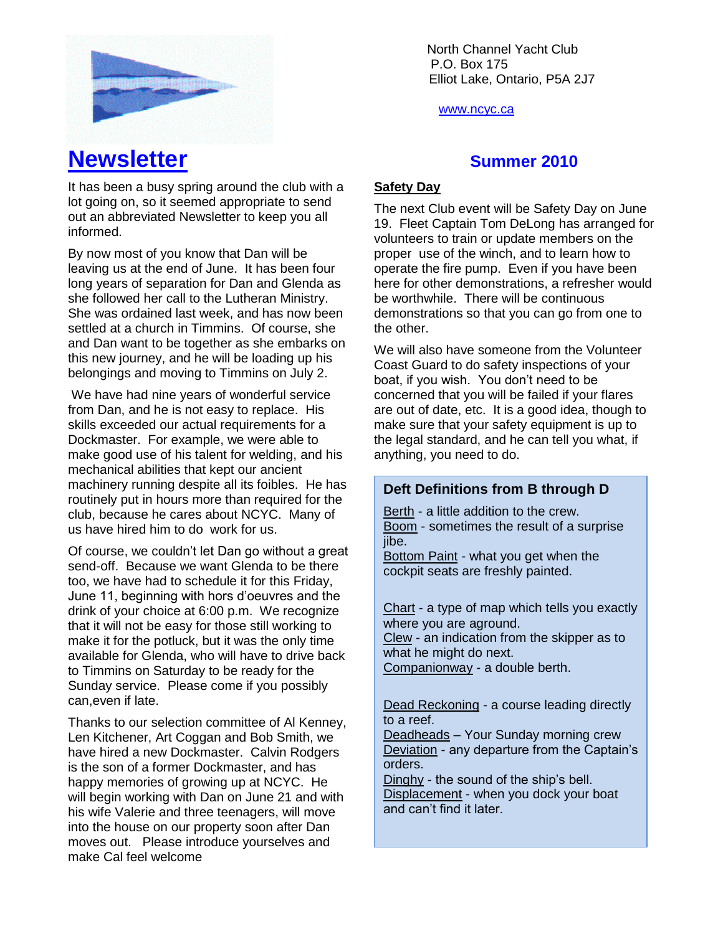

North Channel Yacht Club \ P.O. Box 175 Elliot Lake, Ontario, P5A 2J7

www.ncyc.ca

### **Safety Day**

The next Club event will be Safety Day on June 19. Fleet Captain Tom DeLong has arranged for volunteers to train or update members on the proper use of the winch, and to learn how to operate the fire pump. Even if you have been here for other demonstrations, a refresher would be worthwhile. There will be continuous demonstrations so that you can go from one to the other.

We will also have someone from the Volunteer Coast Guard to do safety inspections of your boat, if you wish. You don't need to be concerned that you will be failed if your flares are out of date, etc. It is a good idea, though to make sure that your safety equipment is up to the legal standard, and he can tell you what, if anything, you need to do.

# **Deft Definitions from B through D**

Berth - a little addition to the crew. Boom - sometimes the result of a surprise iibe.

Bottom Paint - what you get when the cockpit seats are freshly painted.

Chart - a type of map which tells you exactly where you are aground. Clew - an indication from the skipper as to what he might do next. Companionway - a double berth.

Dead Reckoning - a course leading directly to a reef.

Deadheads – Your Sunday morning crew Deviation - any departure from the Captain's orders.

Dinghy - the sound of the ship's bell. Displacement - when you dock your boat and can't find it later.

# **Newsletter** *Summer* 2010

It has been a busy spring around the club with a lot going on, so it seemed appropriate to send out an abbreviated Newsletter to keep you all informed.

By now most of you know that Dan will be leaving us at the end of June. It has been four long years of separation for Dan and Glenda as she followed her call to the Lutheran Ministry. She was ordained last week, and has now been settled at a church in Timmins. Of course, she and Dan want to be together as she embarks on this new journey, and he will be loading up his belongings and moving to Timmins on July 2.

We have had nine years of wonderful service from Dan, and he is not easy to replace. His skills exceeded our actual requirements for a Dockmaster. For example, we were able to make good use of his talent for welding, and his mechanical abilities that kept our ancient machinery running despite all its foibles. He has routinely put in hours more than required for the club, because he cares about NCYC. Many of us have hired him to do work for us.

Of course, we couldn't let Dan go without a great send-off. Because we want Glenda to be there too, we have had to schedule it for this Friday, June 11, beginning with hors d'oeuvres and the drink of your choice at 6:00 p.m. We recognize that it will not be easy for those still working to make it for the potluck, but it was the only time available for Glenda, who will have to drive back to Timmins on Saturday to be ready for the Sunday service. Please come if you possibly can,even if late.

Thanks to our selection committee of Al Kenney, Len Kitchener, Art Coggan and Bob Smith, we have hired a new Dockmaster. Calvin Rodgers is the son of a former Dockmaster, and has happy memories of growing up at NCYC. He will begin working with Dan on June 21 and with his wife Valerie and three teenagers, will move into the house on our property soon after Dan moves out. Please introduce yourselves and make Cal feel welcome